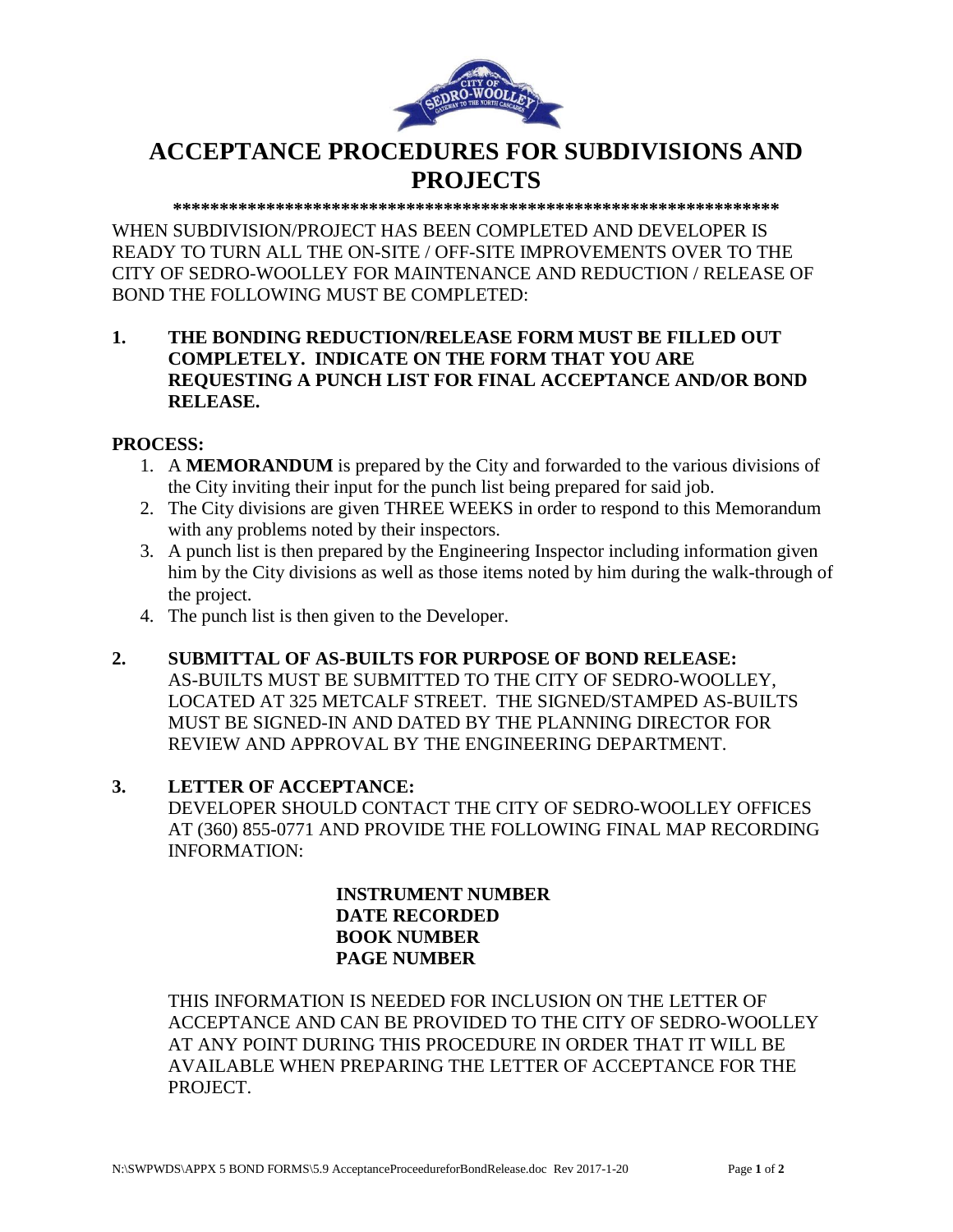

# **ACCEPTANCE PROCEDURES FOR SUBDIVISIONS AND PROJECTS**

**\*\*\*\*\*\*\*\*\*\*\*\*\*\*\*\*\*\*\*\*\*\*\*\*\*\*\*\*\*\*\*\*\*\*\*\*\*\*\*\*\*\*\*\*\*\*\*\*\*\*\*\*\*\*\*\*\*\*\*\*\*\*\*\*\*** 

WHEN SUBDIVISION/PROJECT HAS BEEN COMPLETED AND DEVELOPER IS READY TO TURN ALL THE ON-SITE / OFF-SITE IMPROVEMENTS OVER TO THE CITY OF SEDRO-WOOLLEY FOR MAINTENANCE AND REDUCTION / RELEASE OF BOND THE FOLLOWING MUST BE COMPLETED:

## **1. THE BONDING REDUCTION/RELEASE FORM MUST BE FILLED OUT COMPLETELY. INDICATE ON THE FORM THAT YOU ARE REQUESTING A PUNCH LIST FOR FINAL ACCEPTANCE AND/OR BOND RELEASE.**

#### **PROCESS:**

- 1. A **MEMORANDUM** is prepared by the City and forwarded to the various divisions of the City inviting their input for the punch list being prepared for said job.
- 2. The City divisions are given THREE WEEKS in order to respond to this Memorandum with any problems noted by their inspectors.
- 3. A punch list is then prepared by the Engineering Inspector including information given him by the City divisions as well as those items noted by him during the walk-through of the project.
- 4. The punch list is then given to the Developer.
- **2. SUBMITTAL OF AS-BUILTS FOR PURPOSE OF BOND RELEASE:**

AS-BUILTS MUST BE SUBMITTED TO THE CITY OF SEDRO-WOOLLEY, LOCATED AT 325 METCALF STREET. THE SIGNED/STAMPED AS-BUILTS MUST BE SIGNED-IN AND DATED BY THE PLANNING DIRECTOR FOR REVIEW AND APPROVAL BY THE ENGINEERING DEPARTMENT.

#### **3. LETTER OF ACCEPTANCE:**

DEVELOPER SHOULD CONTACT THE CITY OF SEDRO-WOOLLEY OFFICES AT (360) 855-0771 AND PROVIDE THE FOLLOWING FINAL MAP RECORDING INFORMATION:

> **INSTRUMENT NUMBER DATE RECORDED BOOK NUMBER PAGE NUMBER**

THIS INFORMATION IS NEEDED FOR INCLUSION ON THE LETTER OF ACCEPTANCE AND CAN BE PROVIDED TO THE CITY OF SEDRO-WOOLLEY AT ANY POINT DURING THIS PROCEDURE IN ORDER THAT IT WILL BE AVAILABLE WHEN PREPARING THE LETTER OF ACCEPTANCE FOR THE PROJECT.